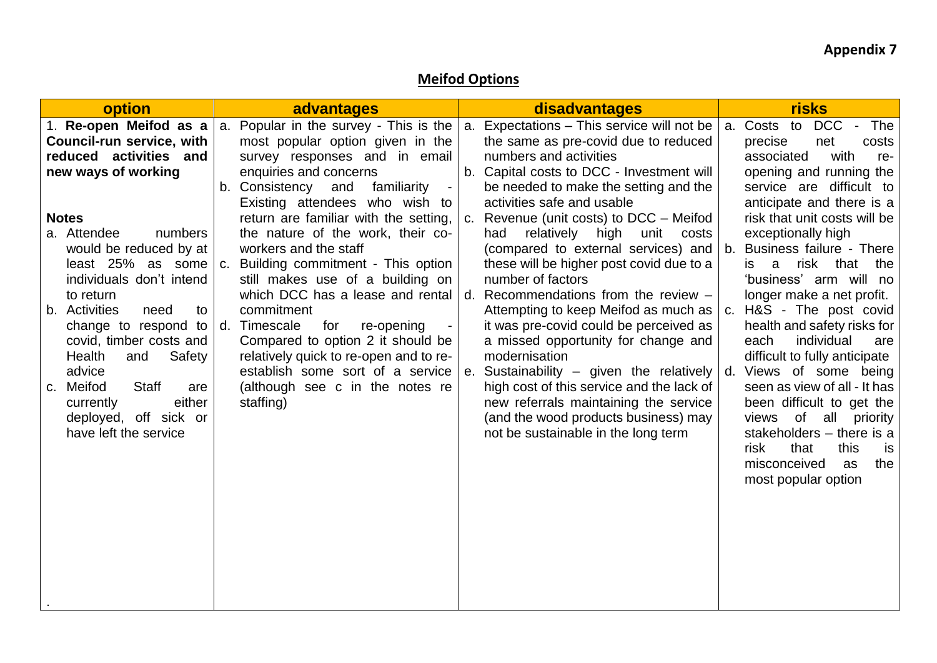## **Meifod Options**

| option                                                                                                                                                                                                                                                                                                                                                                                                                                                                                           | advantages                                                                                                                                                                                                                                                                                                                                                                                                                                                                                                                                                                                                                                                                     | disadvantages                                                                                                                                                                                                                                                                                                                                                                                                                                                                                                                                                                                                                                                                                                                                                                                                                           | <b>risks</b>                                                                                                                                                                                                                                                                                                                                                                                                                                                                                                                                                                                                                                                                                                                   |
|--------------------------------------------------------------------------------------------------------------------------------------------------------------------------------------------------------------------------------------------------------------------------------------------------------------------------------------------------------------------------------------------------------------------------------------------------------------------------------------------------|--------------------------------------------------------------------------------------------------------------------------------------------------------------------------------------------------------------------------------------------------------------------------------------------------------------------------------------------------------------------------------------------------------------------------------------------------------------------------------------------------------------------------------------------------------------------------------------------------------------------------------------------------------------------------------|-----------------------------------------------------------------------------------------------------------------------------------------------------------------------------------------------------------------------------------------------------------------------------------------------------------------------------------------------------------------------------------------------------------------------------------------------------------------------------------------------------------------------------------------------------------------------------------------------------------------------------------------------------------------------------------------------------------------------------------------------------------------------------------------------------------------------------------------|--------------------------------------------------------------------------------------------------------------------------------------------------------------------------------------------------------------------------------------------------------------------------------------------------------------------------------------------------------------------------------------------------------------------------------------------------------------------------------------------------------------------------------------------------------------------------------------------------------------------------------------------------------------------------------------------------------------------------------|
| 1. Re-open Meifod as a<br><b>Council-run service, with</b><br>reduced activities and<br>new ways of working<br><b>Notes</b><br>a. Attendee<br>numbers<br>would be reduced by at<br>least 25% as some<br>individuals don't intend<br>to return<br>b. Activities<br>need<br>to<br>change to respond to<br>covid, timber costs and<br>Health<br>Safety<br>and<br>advice<br><b>Staff</b><br>Meifod<br>are<br>C <sub>1</sub><br>either<br>currently<br>deployed, off sick or<br>have left the service | a. Popular in the survey - This is the<br>most popular option given in the<br>survey responses and in email<br>enquiries and concerns<br>familiarity<br>b. Consistency<br>and<br>$\blacksquare$<br>Existing attendees who wish to<br>return are familiar with the setting,<br>the nature of the work, their co-<br>workers and the staff<br>c. Building commitment - This option<br>still makes use of a building on<br>which DCC has a lease and rental<br>commitment<br>d. Timescale<br>re-opening<br>for<br>Compared to option 2 it should be<br>relatively quick to re-open and to re-<br>establish some sort of a service<br>(although see c in the notes re<br>staffing) | Expectations - This service will not be<br>a.<br>the same as pre-covid due to reduced<br>numbers and activities<br>b. Capital costs to DCC - Investment will<br>be needed to make the setting and the<br>activities safe and usable<br>c. Revenue (unit costs) to DCC – Meifod<br>relatively high unit<br>had<br>costs<br>(compared to external services) and<br>these will be higher post covid due to a<br>number of factors<br>Recommendations from the review -<br>d.<br>Attempting to keep Meifod as much as<br>it was pre-covid could be perceived as<br>a missed opportunity for change and<br>modernisation<br>Sustainability – given the relatively<br>e.<br>high cost of this service and the lack of<br>new referrals maintaining the service<br>(and the wood products business) may<br>not be sustainable in the long term | a. Costs to<br>DCC - The<br>precise<br>net<br>costs<br>with<br>associated<br>re-<br>opening and running the<br>service are difficult to<br>anticipate and there is a<br>risk that unit costs will be<br>exceptionally high<br><b>Business failure - There</b><br>b.<br>risk that the<br>is.<br>a<br>'business' arm will no<br>longer make a net profit.<br>H&S - The post covid<br>C.<br>health and safety risks for<br>individual<br>each<br>are<br>difficult to fully anticipate<br>Views of some being<br>d.<br>seen as view of all - It has<br>been difficult to get the<br>views of all<br>priority<br>stakeholders - there is a<br>risk<br>that<br>this<br><b>is</b><br>misconceived<br>as<br>the<br>most popular option |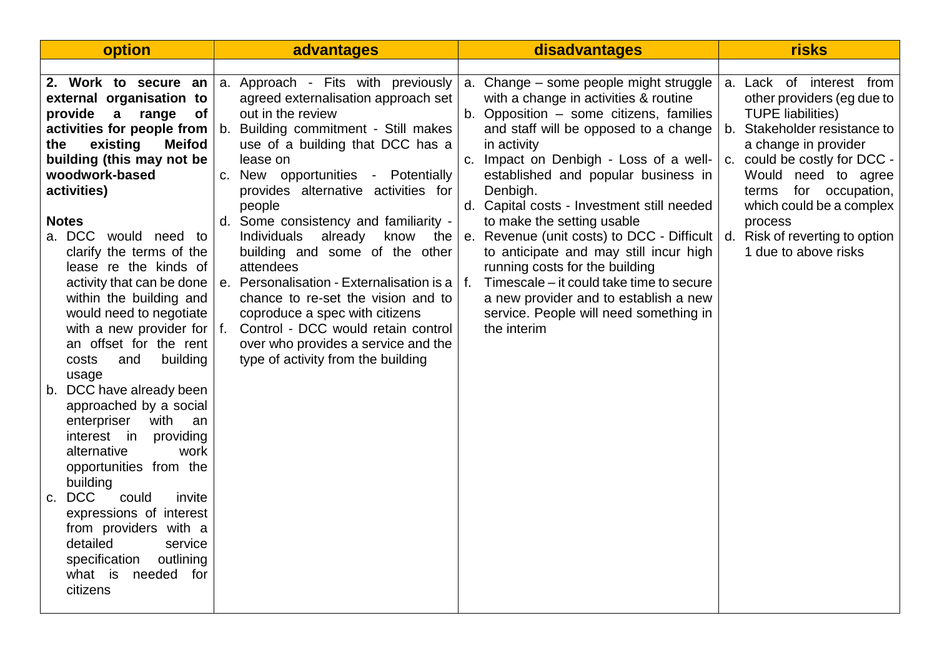| option                                                                                                                                                                                                                                                                                                                                                                                                                                                                                                                                                                                                                                                                                                                                                                                                                                                 | advantages                                                                                                                                                                                                                                                                                                                                                                                                                                                                                                                                                                                                                                                            | disadvantages                                                                                                                                                                                                                                                                                                                                                                                                                                                                                                                                                                                                                                                              | risks                                                                                                                                                                                                                                                                                     |
|--------------------------------------------------------------------------------------------------------------------------------------------------------------------------------------------------------------------------------------------------------------------------------------------------------------------------------------------------------------------------------------------------------------------------------------------------------------------------------------------------------------------------------------------------------------------------------------------------------------------------------------------------------------------------------------------------------------------------------------------------------------------------------------------------------------------------------------------------------|-----------------------------------------------------------------------------------------------------------------------------------------------------------------------------------------------------------------------------------------------------------------------------------------------------------------------------------------------------------------------------------------------------------------------------------------------------------------------------------------------------------------------------------------------------------------------------------------------------------------------------------------------------------------------|----------------------------------------------------------------------------------------------------------------------------------------------------------------------------------------------------------------------------------------------------------------------------------------------------------------------------------------------------------------------------------------------------------------------------------------------------------------------------------------------------------------------------------------------------------------------------------------------------------------------------------------------------------------------------|-------------------------------------------------------------------------------------------------------------------------------------------------------------------------------------------------------------------------------------------------------------------------------------------|
| 2. Work to secure an<br>external organisation to<br>provide a range<br>of<br>activities for people from<br>existing<br><b>Meifod</b><br>the<br>building (this may not be<br>woodwork-based<br>activities)<br><b>Notes</b><br>a. DCC would need to<br>clarify the terms of the<br>lease re the kinds of<br>activity that can be done<br>within the building and<br>would need to negotiate<br>with a new provider for<br>an offset for the rent<br>and<br>building<br>costs<br>usage<br>b. DCC have already been<br>approached by a social<br>with<br>enterpriser<br>an<br>providing<br>interest in<br>alternative<br>work<br>opportunities from the<br>building<br><b>DCC</b><br>could<br>invite<br>$C_{1}$<br>expressions of interest<br>from providers with a<br>detailed<br>service<br>outlining<br>specification<br>what is needed for<br>citizens | a. Approach - Fits with previously<br>agreed externalisation approach set<br>out in the review<br>b. Building commitment - Still makes<br>use of a building that DCC has a<br>lease on<br>c. New opportunities - Potentially<br>provides alternative activities for<br>people<br>d. Some consistency and familiarity -<br><b>Individuals</b><br>already<br>know the<br>building and some of the other<br>attendees<br>e. Personalisation - Externalisation is a $ f $ .<br>chance to re-set the vision and to<br>coproduce a spec with citizens<br>f. Control - DCC would retain control<br>over who provides a service and the<br>type of activity from the building | a. Change – some people might struggle<br>with a change in activities & routine<br>b. Opposition - some citizens, families<br>and staff will be opposed to a change<br>in activity<br>c. Impact on Denbigh - Loss of a well-<br>established and popular business in<br>Denbigh.<br>d. Capital costs - Investment still needed<br>to make the setting usable<br>e. Revenue (unit costs) to DCC - Difficult $\vert$ d. Risk of reverting to option<br>to anticipate and may still incur high<br>running costs for the building<br>Timescale – it could take time to secure<br>a new provider and to establish a new<br>service. People will need something in<br>the interim | a. Lack of interest from<br>other providers (eg due to<br><b>TUPE liabilities)</b><br>b. Stakeholder resistance to<br>a change in provider<br>c. could be costly for DCC -<br>Would need to agree<br>terms for occupation,<br>which could be a complex<br>process<br>1 due to above risks |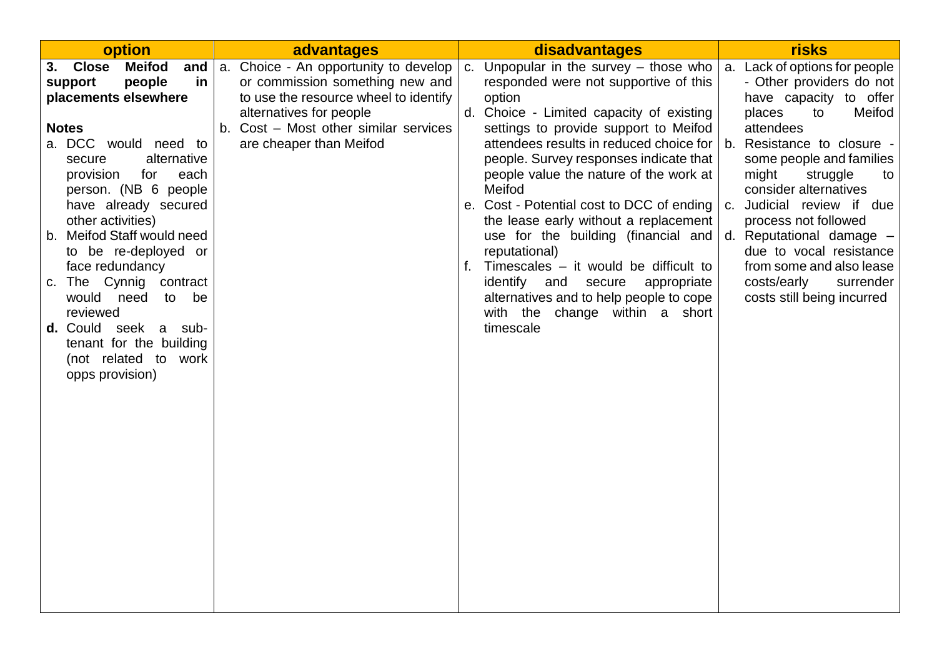| option                                                                                                                                                                                                                                                                                                                                                                                                                                                                                                        | advantages                                                                                                                                                                                                       | disadvantages                                                                                                                                                                                                                                                                                                                                                                                                                                                                                                                                                                                                                                                | <b>risks</b>                                                                                                                                                                                                                                                                                                                                                                                                                               |
|---------------------------------------------------------------------------------------------------------------------------------------------------------------------------------------------------------------------------------------------------------------------------------------------------------------------------------------------------------------------------------------------------------------------------------------------------------------------------------------------------------------|------------------------------------------------------------------------------------------------------------------------------------------------------------------------------------------------------------------|--------------------------------------------------------------------------------------------------------------------------------------------------------------------------------------------------------------------------------------------------------------------------------------------------------------------------------------------------------------------------------------------------------------------------------------------------------------------------------------------------------------------------------------------------------------------------------------------------------------------------------------------------------------|--------------------------------------------------------------------------------------------------------------------------------------------------------------------------------------------------------------------------------------------------------------------------------------------------------------------------------------------------------------------------------------------------------------------------------------------|
| <b>Meifod</b><br><b>Close</b><br>3.<br>and<br>in<br>people<br>support<br>placements elsewhere<br><b>Notes</b><br>a. DCC would need to<br>alternative<br>secure<br>for<br>each<br>provision<br>person. (NB 6 people<br>have already secured<br>other activities)<br>b. Meifod Staff would need<br>to be re-deployed or<br>face redundancy<br>c. The Cynnig contract<br>would need<br>to<br>be<br>reviewed<br><b>d.</b> Could seek a sub-<br>tenant for the building<br>(not related to work<br>opps provision) | a. Choice - An opportunity to develop<br>or commission something new and<br>to use the resource wheel to identify<br>alternatives for people<br>b. Cost - Most other similar services<br>are cheaper than Meifod | Unpopular in the survey $-$ those who<br>C.<br>responded were not supportive of this<br>option<br>Choice - Limited capacity of existing<br>d.<br>settings to provide support to Meifod<br>attendees results in reduced choice for<br>people. Survey responses indicate that<br>people value the nature of the work at<br>Meifod<br>e. Cost - Potential cost to DCC of ending<br>the lease early without a replacement<br>use for the building (financial and<br>reputational)<br>Timescales – it would be difficult to<br>f.<br>identify and secure<br>appropriate<br>alternatives and to help people to cope<br>with the change within a short<br>timescale | a. Lack of options for people<br>- Other providers do not<br>have capacity to offer<br>places<br>Meifod<br>to<br>attendees<br>b. Resistance to closure -<br>some people and families<br>might<br>struggle<br>to<br>consider alternatives<br>c. Judicial review if due<br>process not followed<br>d. Reputational damage -<br>due to vocal resistance<br>from some and also lease<br>costs/early<br>surrender<br>costs still being incurred |